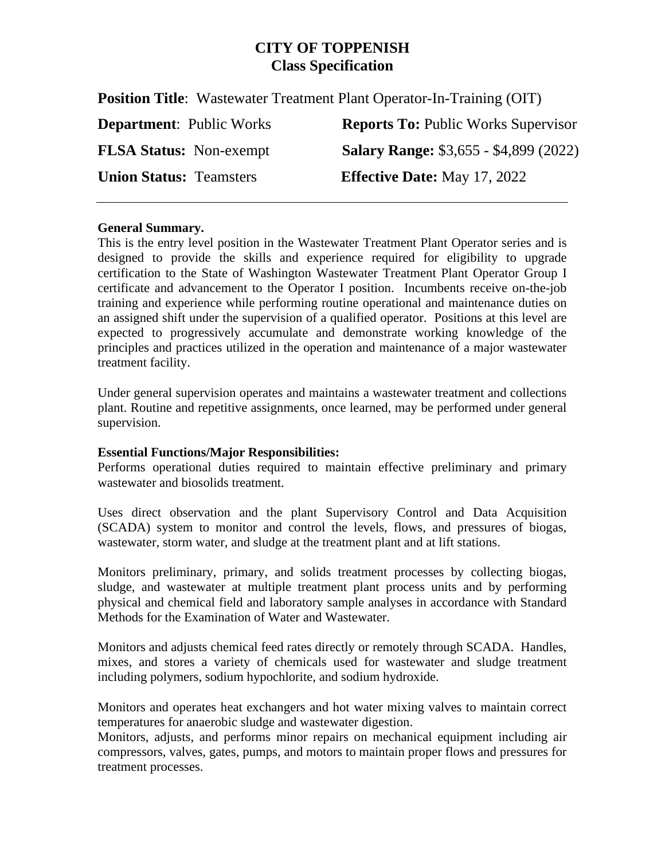# **CITY OF TOPPENISH Class Specification**

**Position Title**: Wastewater Treatment Plant Operator-In-Training (OIT)

| <b>Department:</b> Public Works | <b>Reports To: Public Works Supervisor</b>    |
|---------------------------------|-----------------------------------------------|
| <b>FLSA Status:</b> Non-exempt  | <b>Salary Range: \$3,655 - \$4,899 (2022)</b> |
| <b>Union Status: Teamsters</b>  | <b>Effective Date:</b> May 17, 2022           |

#### **General Summary.**

This is the entry level position in the Wastewater Treatment Plant Operator series and is designed to provide the skills and experience required for eligibility to upgrade certification to the State of Washington Wastewater Treatment Plant Operator Group I certificate and advancement to the Operator I position. Incumbents receive on-the-job training and experience while performing routine operational and maintenance duties on an assigned shift under the supervision of a qualified operator. Positions at this level are expected to progressively accumulate and demonstrate working knowledge of the principles and practices utilized in the operation and maintenance of a major wastewater treatment facility.

Under general supervision operates and maintains a wastewater treatment and collections plant. Routine and repetitive assignments, once learned, may be performed under general supervision.

## **Essential Functions/Major Responsibilities:**

Performs operational duties required to maintain effective preliminary and primary wastewater and biosolids treatment.

Uses direct observation and the plant Supervisory Control and Data Acquisition (SCADA) system to monitor and control the levels, flows, and pressures of biogas, wastewater, storm water, and sludge at the treatment plant and at lift stations.

Monitors preliminary, primary, and solids treatment processes by collecting biogas, sludge, and wastewater at multiple treatment plant process units and by performing physical and chemical field and laboratory sample analyses in accordance with Standard Methods for the Examination of Water and Wastewater.

Monitors and adjusts chemical feed rates directly or remotely through SCADA. Handles, mixes, and stores a variety of chemicals used for wastewater and sludge treatment including polymers, sodium hypochlorite, and sodium hydroxide.

Monitors and operates heat exchangers and hot water mixing valves to maintain correct temperatures for anaerobic sludge and wastewater digestion.

Monitors, adjusts, and performs minor repairs on mechanical equipment including air compressors, valves, gates, pumps, and motors to maintain proper flows and pressures for treatment processes.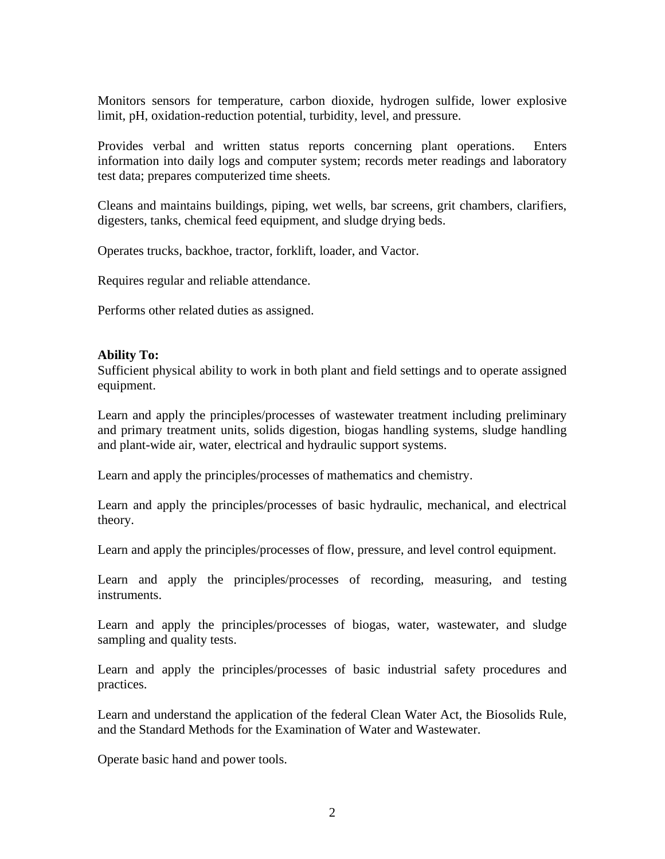Monitors sensors for temperature, carbon dioxide, hydrogen sulfide, lower explosive limit, pH, oxidation-reduction potential, turbidity, level, and pressure.

Provides verbal and written status reports concerning plant operations. Enters information into daily logs and computer system; records meter readings and laboratory test data; prepares computerized time sheets.

Cleans and maintains buildings, piping, wet wells, bar screens, grit chambers, clarifiers, digesters, tanks, chemical feed equipment, and sludge drying beds.

Operates trucks, backhoe, tractor, forklift, loader, and Vactor.

Requires regular and reliable attendance.

Performs other related duties as assigned.

#### **Ability To:**

Sufficient physical ability to work in both plant and field settings and to operate assigned equipment.

Learn and apply the principles/processes of wastewater treatment including preliminary and primary treatment units, solids digestion, biogas handling systems, sludge handling and plant-wide air, water, electrical and hydraulic support systems.

Learn and apply the principles/processes of mathematics and chemistry.

Learn and apply the principles/processes of basic hydraulic, mechanical, and electrical theory.

Learn and apply the principles/processes of flow, pressure, and level control equipment.

Learn and apply the principles/processes of recording, measuring, and testing instruments.

Learn and apply the principles/processes of biogas, water, wastewater, and sludge sampling and quality tests.

Learn and apply the principles/processes of basic industrial safety procedures and practices.

Learn and understand the application of the federal Clean Water Act, the Biosolids Rule, and the Standard Methods for the Examination of Water and Wastewater.

Operate basic hand and power tools.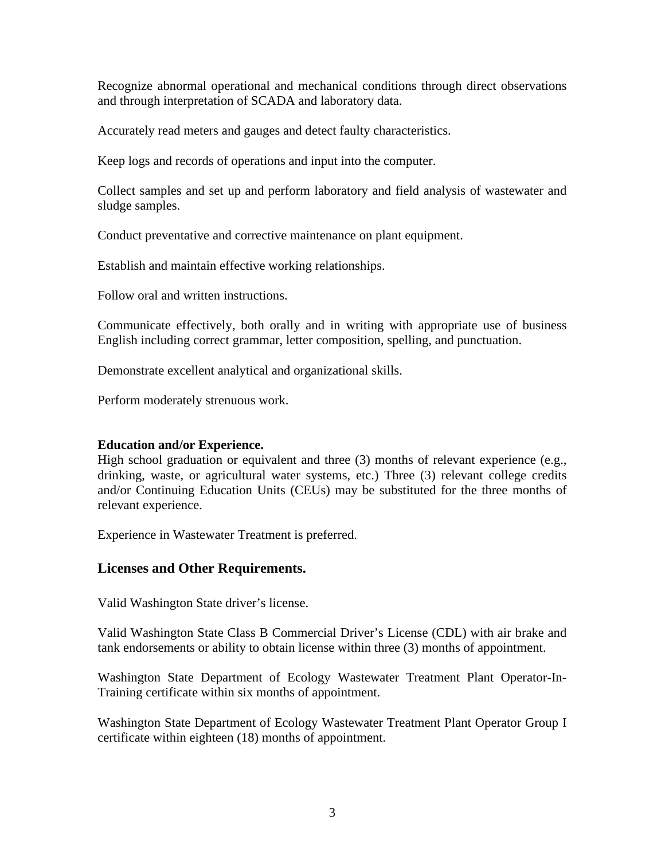Recognize abnormal operational and mechanical conditions through direct observations and through interpretation of SCADA and laboratory data.

Accurately read meters and gauges and detect faulty characteristics.

Keep logs and records of operations and input into the computer.

Collect samples and set up and perform laboratory and field analysis of wastewater and sludge samples.

Conduct preventative and corrective maintenance on plant equipment.

Establish and maintain effective working relationships.

Follow oral and written instructions.

Communicate effectively, both orally and in writing with appropriate use of business English including correct grammar, letter composition, spelling, and punctuation.

Demonstrate excellent analytical and organizational skills.

Perform moderately strenuous work.

#### **Education and/or Experience.**

High school graduation or equivalent and three (3) months of relevant experience (e.g., drinking, waste, or agricultural water systems, etc.) Three (3) relevant college credits and/or Continuing Education Units (CEUs) may be substituted for the three months of relevant experience.

Experience in Wastewater Treatment is preferred.

## **Licenses and Other Requirements.**

Valid Washington State driver's license.

Valid Washington State Class B Commercial Driver's License (CDL) with air brake and tank endorsements or ability to obtain license within three (3) months of appointment.

Washington State Department of Ecology Wastewater Treatment Plant Operator-In-Training certificate within six months of appointment.

Washington State Department of Ecology Wastewater Treatment Plant Operator Group I certificate within eighteen (18) months of appointment.